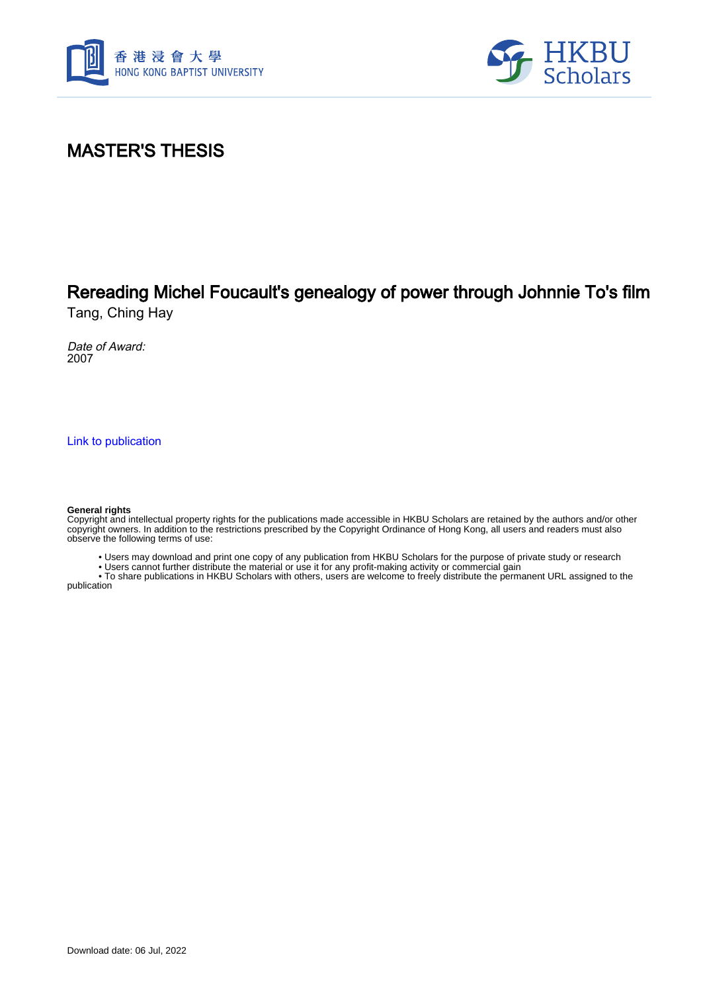



## MASTER'S THESIS

# Rereading Michel Foucault's genealogy of power through Johnnie To's film

Tang, Ching Hay

Date of Award: 2007

[Link to publication](https://scholars.hkbu.edu.hk/en/studentTheses/a4303590-dd09-4325-b2ba-a7585a6eeb80)

#### **General rights**

Copyright and intellectual property rights for the publications made accessible in HKBU Scholars are retained by the authors and/or other copyright owners. In addition to the restrictions prescribed by the Copyright Ordinance of Hong Kong, all users and readers must also observe the following terms of use:

• Users may download and print one copy of any publication from HKBU Scholars for the purpose of private study or research

• Users cannot further distribute the material or use it for any profit-making activity or commercial gain

 • To share publications in HKBU Scholars with others, users are welcome to freely distribute the permanent URL assigned to the publication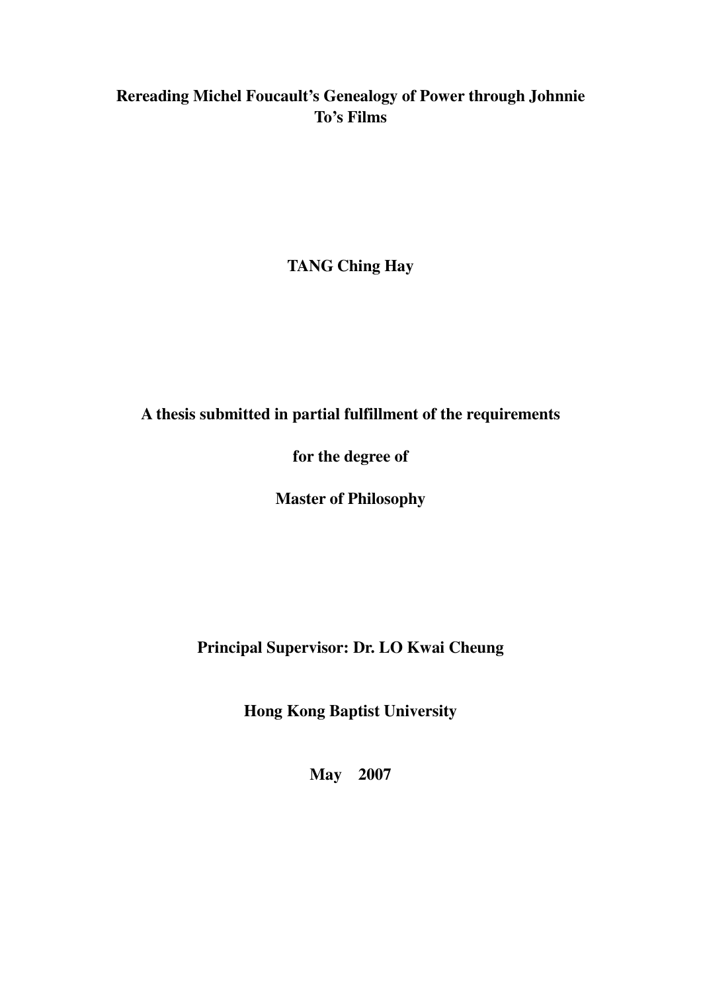### **Rereading Michel Foucault's Genealogy of Power through Johnnie To's Films**

**TANG Ching Hay** 

**A thesis submitted in partial fulfillment of the requirements** 

**for the degree of** 

**Master of Philosophy** 

**Principal Supervisor: Dr. LO Kwai Cheung** 

**Hong Kong Baptist University** 

**May 2007**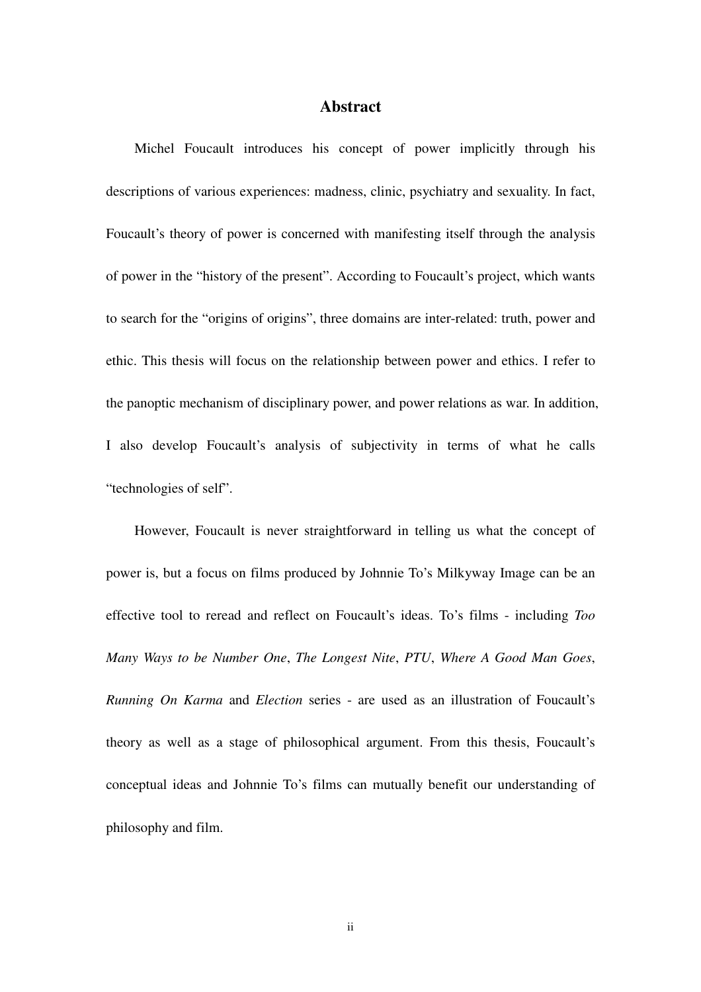#### **Abstract**

Michel Foucault introduces his concept of power implicitly through his descriptions of various experiences: madness, clinic, psychiatry and sexuality. In fact, Foucault's theory of power is concerned with manifesting itself through the analysis of power in the "history of the present". According to Foucault's project, which wants to search for the "origins of origins", three domains are inter-related: truth, power and ethic. This thesis will focus on the relationship between power and ethics. I refer to the panoptic mechanism of disciplinary power, and power relations as war. In addition, I also develop Foucault's analysis of subjectivity in terms of what he calls "technologies of self".

However, Foucault is never straightforward in telling us what the concept of power is, but a focus on films produced by Johnnie To's Milkyway Image can be an effective tool to reread and reflect on Foucault's ideas. To's films - including *Too Many Ways to be Number One*, *The Longest Nite*, *PTU*, *Where A Good Man Goes*, *Running On Karma* and *Election* series - are used as an illustration of Foucault's theory as well as a stage of philosophical argument. From this thesis, Foucault's conceptual ideas and Johnnie To's films can mutually benefit our understanding of philosophy and film.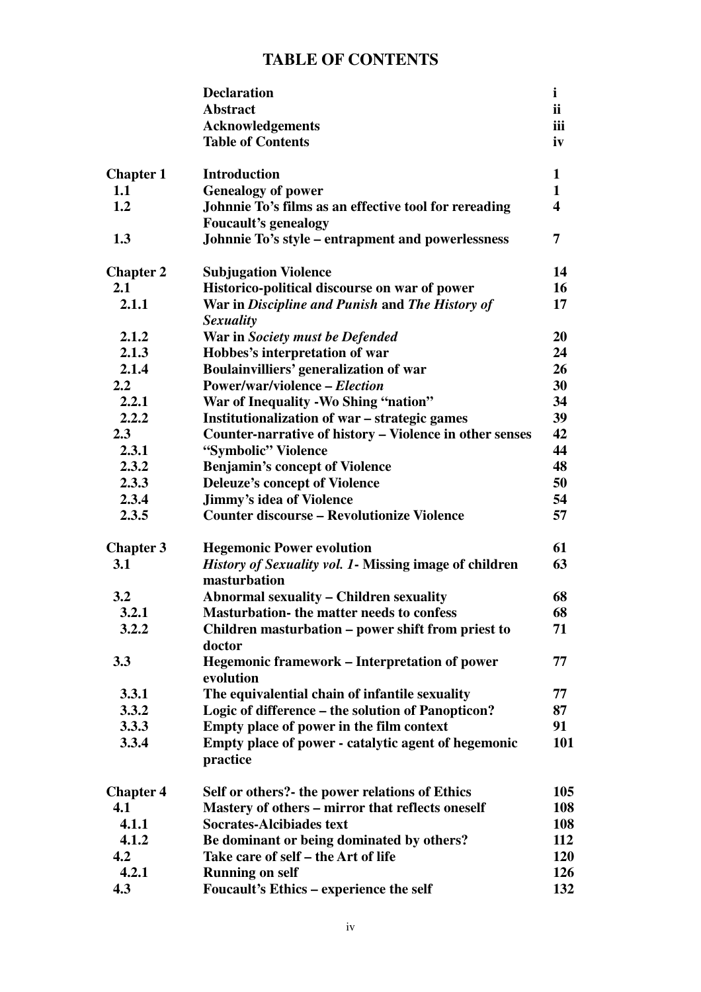### **TABLE OF CONTENTS**

|                  | <b>Declaration</b>                                                             | $\mathbf{i}$            |
|------------------|--------------------------------------------------------------------------------|-------------------------|
|                  | <b>Abstract</b>                                                                | ii                      |
|                  | <b>Acknowledgements</b>                                                        | iii                     |
|                  | <b>Table of Contents</b>                                                       | iv                      |
| <b>Chapter 1</b> | <b>Introduction</b>                                                            | $\mathbf{1}$            |
| 1.1              | <b>Genealogy of power</b>                                                      | $\mathbf{1}$            |
| 1.2              | Johnnie To's films as an effective tool for rereading                          | $\overline{\mathbf{4}}$ |
|                  | <b>Foucault's genealogy</b>                                                    |                         |
| 1.3              | Johnnie To's style – entrapment and powerlessness                              | $\overline{7}$          |
| <b>Chapter 2</b> | <b>Subjugation Violence</b>                                                    | 14                      |
| 2.1              | Historico-political discourse on war of power                                  | 16                      |
| 2.1.1            | War in Discipline and Punish and The History of<br><b>Sexuality</b>            | 17                      |
| 2.1.2            | War in Society must be Defended                                                | 20                      |
| 2.1.3            | Hobbes's interpretation of war                                                 | 24                      |
| 2.1.4            | Boulainvilliers' generalization of war                                         | 26                      |
| $2.2\phantom{0}$ | <b>Power/war/violence – Election</b>                                           | 30                      |
| 2.2.1            | War of Inequality - Wo Shing "nation"                                          | 34                      |
| 2.2.2            | Institutionalization of war - strategic games                                  | 39                      |
| 2.3              | Counter-narrative of history – Violence in other senses                        | 42                      |
| 2.3.1            | "Symbolic" Violence                                                            | 44                      |
| 2.3.2            | <b>Benjamin's concept of Violence</b>                                          | 48                      |
| 2.3.3            | <b>Deleuze's concept of Violence</b>                                           | 50                      |
| 2.3.4            | <b>Jimmy's idea of Violence</b>                                                | 54                      |
| 2.3.5            | <b>Counter discourse - Revolutionize Violence</b>                              | 57                      |
| <b>Chapter 3</b> | <b>Hegemonic Power evolution</b>                                               | 61                      |
| 3.1              | <i>History of Sexuality vol. 1</i> - Missing image of children<br>masturbation | 63                      |
| 3.2              | <b>Abnormal sexuality - Children sexuality</b>                                 | 68                      |
| 3.2.1            | <b>Masturbation-</b> the matter needs to confess                               | 68                      |
| 3.2.2            | Children masturbation – power shift from priest to                             | 71                      |
|                  | doctor                                                                         |                         |
| 3.3              | <b>Hegemonic framework – Interpretation of power</b><br>evolution              | 77                      |
| 3.3.1            | The equivalential chain of infantile sexuality                                 | 77                      |
| 3.3.2            | Logic of difference – the solution of Panopticon?                              | 87                      |
| 3.3.3            | Empty place of power in the film context                                       | 91                      |
| 3.3.4            | Empty place of power - catalytic agent of hegemonic<br>practice                | 101                     |
| <b>Chapter 4</b> | Self or others?- the power relations of Ethics                                 | 105                     |
| 4.1              | Mastery of others - mirror that reflects oneself                               | 108                     |
| 4.1.1            | <b>Socrates-Alcibiades text</b>                                                | 108                     |
| 4.1.2            | Be dominant or being dominated by others?                                      | 112                     |
| 4.2              | Take care of self – the Art of life                                            | 120                     |
| 4.2.1            | <b>Running on self</b>                                                         | 126                     |
| 4.3              | Foucault's Ethics - experience the self                                        | 132                     |